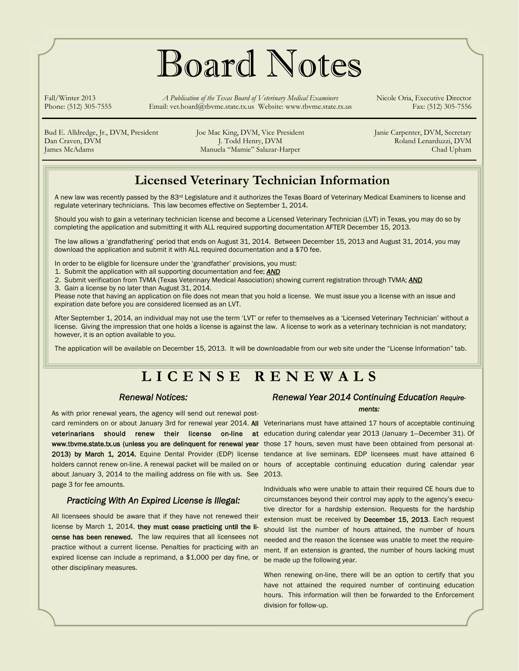# Board Notes

Fall/Winter 2013 *A Publication of the Texas Board of Veterinary Medical Examiners* Nicole Oria, Executive Director Phone: (512) 305-7555 Email: vet.board@tbvme.state.tx.us Website: www.tbvme.state.tx.us Fax: (512) 305-7556

Bud E. Alldredge, Jr., DVM, President Joe Mac King, DVM, Vice President Janie Carpenter, DVM, Secretary Dan Craven, DVM J. Todd Henry, DVM J. Todd Henry, DVM Roland Lenarduzzi, DVM James McAdams Manuela "Mamie" Salazar-Harper Chad Upham

### **Licensed Veterinary Technician Information**

A new law was recently passed by the 83rd Legislature and it authorizes the Texas Board of Veterinary Medical Examiners to license and regulate veterinary technicians. This law becomes effective on September 1, 2014.

Should you wish to gain a veterinary technician license and become a Licensed Veterinary Technician (LVT) in Texas, you may do so by completing the application and submitting it with ALL required supporting documentation AFTER December 15, 2013.

The law allows a 'grandfathering' period that ends on August 31, 2014. Between December 15, 2013 and August 31, 2014, you may download the application and submit it with ALL required documentation and a \$70 fee.

In order to be eligible for licensure under the 'grandfather' provisions, you must:

1. Submit the application with all supporting documentation and fee; *AND*

2. Submit verification from TVMA (Texas Veterinary Medical Association) showing current registration through TVMA; *AND*

3. Gain a license by no later than August 31, 2014.

Please note that having an application on file does not mean that you hold a license. We must issue you a license with an issue and expiration date before you are considered licensed as an LVT.

After September 1, 2014, an individual may not use the term 'LVT' or refer to themselves as a 'Licensed Veterinary Technician' without a license. Giving the impression that one holds a license is against the law. A license to work as a veterinary technician is not mandatory; however, it is an option available to you.

The application will be available on December 15, 2013. It will be downloadable from our web site under the "License Information" tab.

### **LICENSE RENEWALS**

#### *Renewal Notices:*

As with prior renewal years, the agency will send out renewal postabout January 3, 2014 to the mailing address on file with us. See 2013. page 3 for fee amounts.

#### *Practicing With An Expired License is Illegal:*

All licensees should be aware that if they have not renewed their license by March 1, 2014, they must cease practicing until the license has been renewed. The law requires that all licensees not practice without a current license. Penalties for practicing with an expired license can include a reprimand, a \$1,000 per day fine, or other disciplinary measures.

#### *Renewal Year 2014 Continuing Education Requirements:*

card reminders on or about January 3rd for renewal year 2014. All Veterinarians must have attained 17 hours of acceptable continuing veterinarians should renew their license on-line at education-during-calendar-year-2013 (January-1—December 31). Of www.tbvme.state.tx.us (unless you are delinquent for renewal year those 17 hours, seven must have been obtained from personal at-2013) by March 1, 2014. Equine Dental Provider (EDP) license tendance at live seminars. EDP licensees must have attained 6 holders cannot renew on-line. A renewal packet will be mailed on or hours of acceptable continuing education during calendar year

> Individuals who were unable to attain their required CE hours due to circumstances beyond their control may apply to the agency's executive director for a hardship extension. Requests for the hardship extension must be received by December 15, 2013. Each request should list the number of hours attained, the number of hours needed and the reason the licensee was unable to meet the requirement. If an extension is granted, the number of hours lacking must be made up the following year.

> When renewing on-line, there will be an option to certify that you have not attained the required number of continuing education hours. This information will then be forwarded to the Enforcement division for follow-up.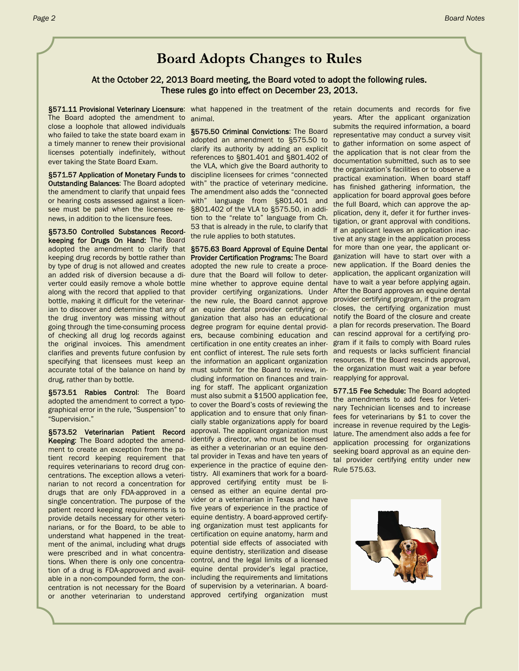### **Board Adopts Changes to Rules**

#### At the October 22, 2013 Board meeting, the Board voted to adopt the following rules. These rules go into effect on December 23, 2013.

The Board adopted the amendment to animal. close a loophole that allowed individuals who failed to take the state board exam in a timely manner to renew their provisional licenses potentially indefinitely, without ever taking the State Board Exam.

**Outstanding Balances: The Board adopted** the amendment to clarify that unpaid fees or hearing costs assessed against a licensee must be paid when the licensee renews, in addition to the licensure fees.

§573.50 Controlled Substances Recordkeeping for Drugs On Hand: The Board adopted the amendment to clarify that §575.63 Board Approval of Equine Dental keeping drug records by bottle rather than Provider Certification Programs: The Board by type of drug is not allowed and creates adopted the new rule to create a procean added risk of diversion because a di-dure that the Board will follow to deterverter could easily remove a whole bottle mine whether to approve equine dental along with the record that applied to that provider certifying organizations. Under bottle, making it difficult for the veterinar- the new rule, the Board cannot approve provider certifying program, if the program ian to discover and determine that any of an equine dental provider certifying orthe drug inventory was missing without ganization that also has an educational going through the time-consuming process degree program for equine dental providof checking all drug log records against ers, because combining education and the original invoices. This amendment certification in one entity creates an inherclarifies and prevents future confusion by ent conflict of interest. The rule sets forth specifying that licensees must keep an the information an applicant organization accurate total of the balance on hand by must submit for the Board to review, indrug, rather than by bottle.

§573.51 Rabies Control: The Board adopted the amendment to correct a typographical error in the rule, "Suspension" to "Supervision."

§573.52 Veterinarian Patient Record Keeping: The Board adopted the amendment to create an exception from the patient record keeping requirement that tal provider in Texas and have ten years of requires veterinarians to record drug concentrations. The exception allows a veterinarian to not record a concentration for drugs that are only FDA-approved in a single concentration. The purpose of the patient record keeping requirements is to provide details necessary for other veterinarians, or for the Board, to be able to understand what happened in the treat-certification on equine anatomy, harm and ment of the animal, including what drugs potential side effects of associated with were prescribed and in what concentra-equine dentistry, sterilization and disease tions. When there is only one concentra-control, and the legal limits of a licensed tion of a drug is FDA-approved and avail- equine dental provider's legal practice, able in a non-compounded form, the con-including the requirements and limitations centration is not necessary for the Board of supervision by a veterinarian. A boardor another veterinarian to understand approved certifying organization must

§571.57 Application of Monetary Funds to discipline licensees for crimes "connected §575.50 Criminal Convictions: The Board adopted an amendment to §575.50 to clarify its authority by adding an explicit references to §801.401 and §801.402 of the VLA, which give the Board authority to with" the practice of veterinary medicine. The amendment also adds the "connected with" language from §801.401 and §801.402 of the VLA to §575.50, in addition to the "relate to" language from Ch. 53 that is already in the rule, to clarify that the rule applies to both statutes.

> cluding information on finances and training for staff. The applicant organization must also submit a \$1500 application fee, to cover the Board's costs of reviewing the application and to ensure that only financially stable organizations apply for board approval. The applicant organization must identify a director, who must be licensed as either a veterinarian or an equine denexperience in the practice of equine dentistry. All examiners that work for a boardapproved certifying entity must be licensed as either an equine dental provider or a veterinarian in Texas and have five years of experience in the practice of equine dentistry. A board-approved certifying organization must test applicants for

§571.11 Provisional Veterinary Licensure: what happened in the treatment of the retain documents and records for five years. After the applicant organization submits the required information, a board representative may conduct a survey visit to gather information on some aspect of the application that is not clear from the documentation submitted, such as to see the organization's facilities or to observe a practical examination. When board staff has finished gathering information, the application for board approval goes before the full Board, which can approve the application, deny it, defer it for further investigation, or grant approval with conditions. If an applicant leaves an application inactive at any stage in the application process for more than one year, the applicant organization will have to start over with a new application. If the Board denies the application, the applicant organization will have to wait a year before applying again. After the Board approves an equine dental closes, the certifying organization must notify the Board of the closure and create a plan for records preservation. The Board can rescind approval for a certifying program if it fails to comply with Board rules and requests or lacks sufficient financial resources. If the Board rescinds approval, the organization must wait a year before reapplying for approval.

> 577.15 Fee Schedule: The Board adopted the amendments to add fees for Veterinary Technician licenses and to increase fees for veterinarians by \$1 to cover the increase in revenue required by the Legislature. The amendment also adds a fee for application processing for organizations seeking board approval as an equine dental provider certifying entity under new Rule 575.63.

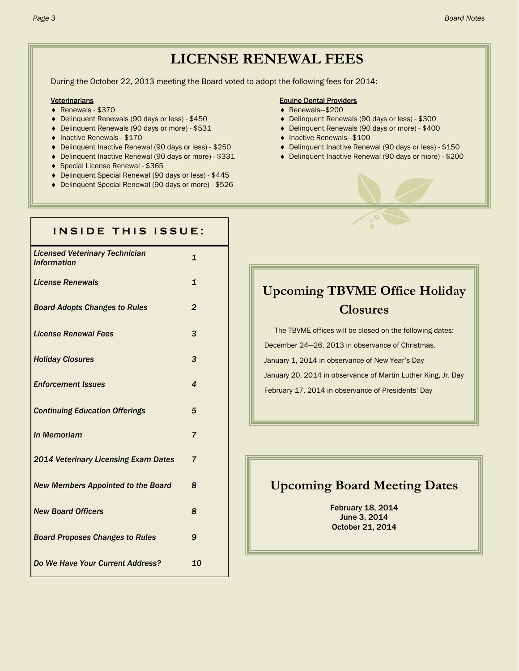### **LICENSE RENEWAL FEES**

During the October 22, 2013 meeting the Board voted to adopt the following fees for 2014:

- ◆ Renewals \$370 **All and All and All and All and All and All and All and All and All and All and All and All and All and All and All and All and All and All and All and All and All and All and All and All and All and Al**
- ◆ Delinquent Renewals (90 days or less) \$450 <br>● Delinquent Renewals (90 days or less) \$300
- Delinquent Renewals (90 days or more) \$531 Delinquent Renewals (90 days or more) \$400
- Inactive Renewals \$170 **Institute Renewals** \$100
- 
- 
- Special License Renewal \$365
- Delinquent Special Renewal (90 days or less) \$445
- Delinquent Special Renewal (90 days or more) \$526

#### Veterinarians Equine Dental Providers

- 
- 
- 
- 
- ◆ Delinquent Inactive Renewal (90 days or less) \$250 → Delinquent Inactive Renewal (90 days or less) \$150
- ◆ Delinquent Inactive Renewal (90 days or more) \$331 <br>● Delinquent Inactive Renewal (90 days or more) \$331

| INSIDE THIS ISSUE:                                          |                         |
|-------------------------------------------------------------|-------------------------|
| <b>Licensed Veterinary Technician</b><br><b>Information</b> | $\mathbf{1}$            |
| <b>License Renewals</b>                                     | $\mathbf{1}$            |
| <b>Board Adopts Changes to Rules</b>                        | $\overline{2}$          |
| <b>License Renewal Fees</b>                                 | 3                       |
| <b>Holiday Closures</b>                                     | 3                       |
| <b>Enforcement Issues</b>                                   | $\overline{\mathbf{4}}$ |
| <b>Continuing Education Offerings</b>                       | 5                       |
| In Memoriam                                                 | $\overline{7}$          |
| 2014 Veterinary Licensing Exam Dates                        | $\overline{7}$          |
| <b>New Members Appointed to the Board</b>                   | 8                       |
| <b>New Board Officers</b>                                   | 8                       |
| <b>Board Proposes Changes to Rules</b>                      | 9                       |
| <b>Do We Have Your Current Address?</b>                     | 10                      |
|                                                             |                         |

### **Upcoming TBVME Office Holiday Closures**

The TBVME offices will be closed on the following dates: December 24—26, 2013 in observance of Christmas. January 1, 2014 in observance of New Year's Day January 20, 2014 in observance of Martin Luther King, Jr. Day February 17, 2014 in observance of Presidents' Day

#### **Upcoming Board Meeting Dates**

February 18, 2014 June 3, 2014 October 21, 2014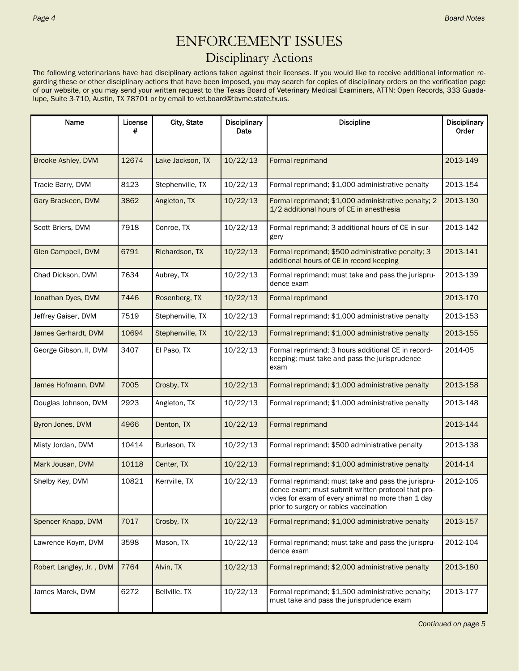### ENFORCEMENT ISSUES

### Disciplinary Actions

The following veterinarians have had disciplinary actions taken against their licenses. If you would like to receive additional information regarding these or other disciplinary actions that have been imposed, you may search for copies of disciplinary orders on the verification page of our website, or you may send your written request to the Texas Board of Veterinary Medical Examiners, ATTN: Open Records, 333 Guadalupe, Suite 3-710, Austin, TX 78701 or by email to vet.board@tbvme.state.tx.us.

| Name                     | License<br># | City, State      | <b>Disciplinary</b><br>Date | <b>Discipline</b>                                                                                                                                                                                       | Disciplinary<br>Order |
|--------------------------|--------------|------------------|-----------------------------|---------------------------------------------------------------------------------------------------------------------------------------------------------------------------------------------------------|-----------------------|
|                          |              |                  |                             |                                                                                                                                                                                                         |                       |
| Brooke Ashley, DVM       | 12674        | Lake Jackson, TX | 10/22/13                    | Formal reprimand                                                                                                                                                                                        | 2013-149              |
| Tracie Barry, DVM        | 8123         | Stephenville, TX | 10/22/13                    | Formal reprimand; \$1,000 administrative penalty                                                                                                                                                        | 2013-154              |
| Gary Brackeen, DVM       | 3862         | Angleton, TX     | 10/22/13                    | Formal reprimand; \$1,000 administrative penalty; 2<br>1/2 additional hours of CE in anesthesia                                                                                                         | 2013-130              |
| Scott Briers, DVM        | 7918         | Conroe, TX       | 10/22/13                    | Formal reprimand; 3 additional hours of CE in sur-<br>gery                                                                                                                                              | 2013-142              |
| Glen Campbell, DVM       | 6791         | Richardson, TX   | 10/22/13                    | Formal reprimand; \$500 administrative penalty; 3<br>additional hours of CE in record keeping                                                                                                           | 2013-141              |
| Chad Dickson, DVM        | 7634         | Aubrey, TX       | 10/22/13                    | Formal reprimand; must take and pass the jurispru-<br>dence exam                                                                                                                                        | 2013-139              |
| Jonathan Dyes, DVM       | 7446         | Rosenberg, TX    | 10/22/13                    | Formal reprimand                                                                                                                                                                                        | 2013-170              |
| Jeffrey Gaiser, DVM      | 7519         | Stephenville, TX | 10/22/13                    | Formal reprimand; \$1,000 administrative penalty                                                                                                                                                        | 2013-153              |
| James Gerhardt, DVM      | 10694        | Stephenville, TX | 10/22/13                    | Formal reprimand; \$1,000 administrative penalty                                                                                                                                                        | 2013-155              |
| George Gibson, II, DVM   | 3407         | El Paso, TX      | 10/22/13                    | Formal reprimand; 3 hours additional CE in record-<br>keeping; must take and pass the jurisprudence<br>exam                                                                                             | 2014-05               |
| James Hofmann, DVM       | 7005         | Crosby, TX       | 10/22/13                    | Formal reprimand; \$1,000 administrative penalty                                                                                                                                                        | 2013-158              |
| Douglas Johnson, DVM     | 2923         | Angleton, TX     | 10/22/13                    | Formal reprimand; \$1,000 administrative penalty                                                                                                                                                        | 2013-148              |
| Byron Jones, DVM         | 4966         | Denton, TX       | 10/22/13                    | Formal reprimand                                                                                                                                                                                        | 2013-144              |
| Misty Jordan, DVM        | 10414        | Burleson, TX     | 10/22/13                    | Formal reprimand; \$500 administrative penalty                                                                                                                                                          | 2013-138              |
| Mark Jousan, DVM         | 10118        | Center, TX       | 10/22/13                    | Formal reprimand; \$1,000 administrative penalty                                                                                                                                                        | 2014-14               |
| Shelby Key, DVM          | 10821        | Kerrville, TX    | 10/22/13                    | Formal reprimand; must take and pass the jurispru-<br>dence exam; must submit written protocol that pro-<br>vides for exam of every animal no more than 1 day<br>prior to surgery or rabies vaccination | 2012-105              |
| Spencer Knapp, DVM       | 7017         | Crosby, TX       | 10/22/13                    | Formal reprimand; \$1,000 administrative penalty                                                                                                                                                        | 2013-157              |
| Lawrence Koym, DVM       | 3598         | Mason, TX        | 10/22/13                    | Formal reprimand; must take and pass the jurispru-<br>dence exam                                                                                                                                        | 2012-104              |
| Robert Langley, Jr., DVM | 7764         | Alvin, TX        | 10/22/13                    | Formal reprimand; \$2,000 administrative penalty                                                                                                                                                        | 2013-180              |
| James Marek, DVM         | 6272         | Bellville, TX    | 10/22/13                    | Formal reprimand; \$1,500 administrative penalty;<br>must take and pass the jurisprudence exam                                                                                                          | 2013-177              |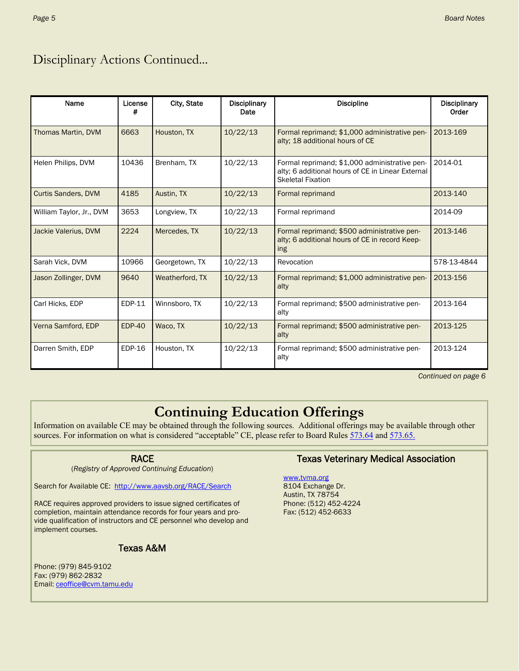### Disciplinary Actions Continued...

| Name                       | License<br>#  | City, State     | <b>Disciplinary</b><br>Date | <b>Discipline</b>                                                                                                              | <b>Disciplinary</b><br>Order |
|----------------------------|---------------|-----------------|-----------------------------|--------------------------------------------------------------------------------------------------------------------------------|------------------------------|
| <b>Thomas Martin, DVM</b>  | 6663          | Houston, TX     | 10/22/13                    | Formal reprimand; \$1,000 administrative pen-<br>alty; 18 additional hours of CE                                               | 2013-169                     |
| Helen Philips, DVM         | 10436         | Brenham, TX     | 10/22/13                    | Formal reprimand; \$1,000 administrative pen-<br>alty; 6 additional hours of CE in Linear External<br><b>Skeletal Fixation</b> | 2014-01                      |
| <b>Curtis Sanders, DVM</b> | 4185          | Austin, TX      | 10/22/13                    | Formal reprimand                                                                                                               | 2013-140                     |
| William Taylor, Jr., DVM   | 3653          | Longview, TX    | 10/22/13                    | Formal reprimand                                                                                                               | 2014-09                      |
| Jackie Valerius, DVM       | 2224          | Mercedes, TX    | 10/22/13                    | Formal reprimand: \$500 administrative pen-<br>alty; 6 additional hours of CE in record Keep-<br>ing                           | 2013-146                     |
| Sarah Vick, DVM            | 10966         | Georgetown, TX  | 10/22/13                    | Revocation                                                                                                                     | 578-13-4844                  |
| Jason Zollinger, DVM       | 9640          | Weatherford, TX | 10/22/13                    | Formal reprimand; \$1,000 administrative pen-<br>alty                                                                          | 2013-156                     |
| Carl Hicks, EDP            | EDP-11        | Winnsboro, TX   | 10/22/13                    | Formal reprimand; \$500 administrative pen-<br>alty                                                                            | 2013-164                     |
| Verna Samford, EDP         | <b>EDP-40</b> | Waco, TX        | 10/22/13                    | Formal reprimand; \$500 administrative pen-<br>alty                                                                            | 2013-125                     |
| Darren Smith, EDP          | $EDP-16$      | Houston, TX     | 10/22/13                    | Formal reprimand; \$500 administrative pen-<br>alty                                                                            | 2013-124                     |

*Continued on page 6* 

### **Continuing Education Offerings**

Information on available CE may be obtained through the following sources. Additional offerings may be available through other sources. For information on what is considered "acceptable" CE, please refer to Board Rules 573.64 and 573.65.

#### RACE

(*Registry of Approved Continuing Education*)

Search for Available CE: http://www.aavsb.org/RACE/Search

RACE requires approved providers to issue signed certificates of completion, maintain attendance records for four years and provide qualification of instructors and CE personnel who develop and implement courses.

#### Texas A&M

Phone: (979) 845-9102 Fax: (979) 862-2832 Email: ceoffice@cvm.tamu.edu

#### Texas Veterinary Medical Association

www.tvma.org 8104 Exchange Dr. Austin, TX 78754 Phone: (512) 452-4224 Fax: (512) 452-6633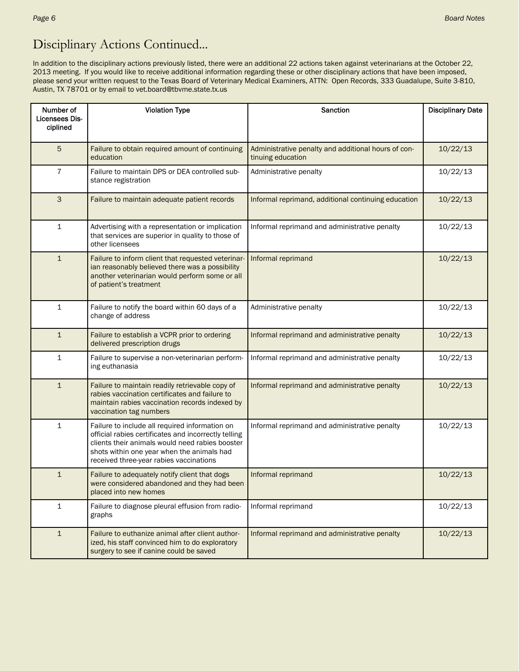### Disciplinary Actions Continued...

In addition to the disciplinary actions previously listed, there were an additional 22 actions taken against veterinarians at the October 22, 2013 meeting. If you would like to receive additional information regarding these or other disciplinary actions that have been imposed, please send your written request to the Texas Board of Veterinary Medical Examiners, ATTN: Open Records, 333 Guadalupe, Suite 3-810, Austin, TX 78701 or by email to vet.board@tbvme.state.tx.us

| Number of                  | <b>Violation Type</b>                                                                                                                                                                                                                              | Sanction                                                                 | <b>Disciplinary Date</b> |  |
|----------------------------|----------------------------------------------------------------------------------------------------------------------------------------------------------------------------------------------------------------------------------------------------|--------------------------------------------------------------------------|--------------------------|--|
| Licensees Dis-<br>ciplined |                                                                                                                                                                                                                                                    |                                                                          |                          |  |
| 5                          | Failure to obtain required amount of continuing<br>education                                                                                                                                                                                       | Administrative penalty and additional hours of con-<br>tinuing education | 10/22/13                 |  |
| 7                          | Failure to maintain DPS or DEA controlled sub-<br>stance registration                                                                                                                                                                              | Administrative penalty                                                   | 10/22/13                 |  |
| 3                          | Failure to maintain adequate patient records                                                                                                                                                                                                       | Informal reprimand, additional continuing education                      | 10/22/13                 |  |
| 1                          | Advertising with a representation or implication<br>that services are superior in quality to those of<br>other licensees                                                                                                                           | Informal reprimand and administrative penalty                            | 10/22/13                 |  |
| $\mathbf{1}$               | Failure to inform client that requested veterinar-<br>ian reasonably believed there was a possibility<br>another veterinarian would perform some or all<br>of patient's treatment                                                                  | Informal reprimand                                                       | 10/22/13                 |  |
| 1                          | Failure to notify the board within 60 days of a<br>change of address                                                                                                                                                                               | Administrative penalty                                                   | 10/22/13                 |  |
| $\mathbf{1}$               | Failure to establish a VCPR prior to ordering<br>delivered prescription drugs                                                                                                                                                                      | Informal reprimand and administrative penalty                            | 10/22/13                 |  |
| 1                          | Failure to supervise a non-veterinarian perform-<br>ing euthanasia                                                                                                                                                                                 | Informal reprimand and administrative penalty                            | 10/22/13                 |  |
| $\mathbf{1}$               | Failure to maintain readily retrievable copy of<br>rabies vaccination certificates and failure to<br>maintain rabies vaccination records indexed by<br>vaccination tag numbers                                                                     | Informal reprimand and administrative penalty                            | 10/22/13                 |  |
| 1                          | Failure to include all required information on<br>official rabies certificates and incorrectly telling<br>clients their animals would need rabies booster<br>shots within one year when the animals had<br>received three-year rabies vaccinations | Informal reprimand and administrative penalty                            | 10/22/13                 |  |
| $\mathbf{1}$               | Failure to adequately notify client that dogs<br>were considered abandoned and they had been<br>placed into new homes                                                                                                                              | Informal reprimand                                                       | 10/22/13                 |  |
| $\mathbf{1}$               | Failure to diagnose pleural effusion from radio-<br>graphs                                                                                                                                                                                         | Informal reprimand                                                       | 10/22/13                 |  |
| $\mathbf{1}$               | Failure to euthanize animal after client author-<br>ized, his staff convinced him to do exploratory<br>surgery to see if canine could be saved                                                                                                     | Informal reprimand and administrative penalty                            | 10/22/13                 |  |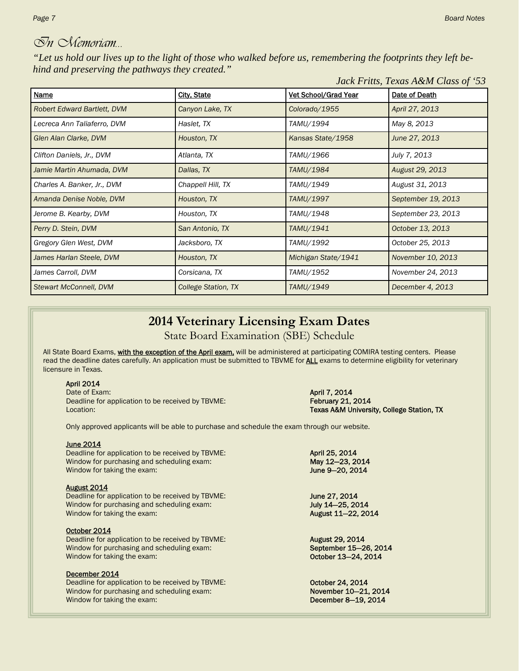### *In Memoriam…*

*"Let us hold our lives up to the light of those who walked before us, remembering the footprints they left behind and preserving the pathways they created."* 

|                                    | Jack Fritts, Texas A&M Class of '53 |                             |                    |
|------------------------------------|-------------------------------------|-----------------------------|--------------------|
| <b>Name</b>                        | <b>City, State</b>                  | <b>Vet School/Grad Year</b> | Date of Death      |
| <b>Robert Edward Bartlett, DVM</b> | Canyon Lake, TX                     | Colorado/1955               | April 27, 2013     |
| Lecreca Ann Taliaferro, DVM        | Haslet, TX                          | TAMU/1994                   | May 8, 2013        |
| Glen Alan Clarke, DVM              | Houston, TX                         | Kansas State/1958           | June 27, 2013      |
| Clifton Daniels, Jr., DVM          | Atlanta, TX                         | TAMU/1966                   | July 7, 2013       |
| Jamie Martin Ahumada, DVM          | Dallas, TX                          | TAMU/1984                   | August 29, 2013    |
| Charles A. Banker, Jr., DVM        | Chappell Hill, TX                   | TAMU/1949                   | August 31, 2013    |
| Amanda Denise Noble, DVM           | Houston, TX                         | TAMU/1997                   | September 19, 2013 |
| Jerome B. Kearby, DVM              | Houston, TX                         | TAMU/1948                   | September 23, 2013 |
| Perry D. Stein, DVM                | San Antonio, TX                     | TAMU/1941                   | October 13, 2013   |
| Gregory Glen West, DVM             | Jacksboro, TX                       | TAMU/1992                   | October 25, 2013   |
| James Harlan Steele, DVM           | Houston, TX                         | Michigan State/1941         | November 10, 2013  |
| James Carroll, DVM                 | Corsicana, TX                       | TAMU/1952                   | November 24, 2013  |
| <b>Stewart McConnell, DVM</b>      | College Station, TX                 | TAMU/1949                   | December 4, 2013   |

### **2014 Veterinary Licensing Exam Dates**

State Board Examination (SBE) Schedule

All State Board Exams, with the exception of the April exam, will be administered at participating COMIRA testing centers. Please read the deadline dates carefully. An application must be submitted to TBVME for **ALL** exams to determine eligibility for veterinary licensure in Texas.

#### April 2014

Date of Exam: **April 7, 2014** Deadline for application to be received by TBVME: February 21, 2014 Location: Texas A&M University, College Station, TX

Only approved applicants will be able to purchase and schedule the exam through our website.

#### June 2014

Deadline for application to be received by TBVME: April 25, 2014 Window for purchasing and scheduling exam: May 12-23, 2014 Window for taking the exam:  $\frac{1}{2}$  June 9–20, 2014

#### August 2014

Deadline for application to be received by TBVME: **June 27, 2014** Window for purchasing and scheduling exam: **July 14—25, 2014**<br>
Window for taking the exam: **July 14—22, 2014**<br> **August 11–22, 2014** Window for taking the exam:

#### October 2014

Deadline for application to be received by TBVME: **August 29, 2014** Window for purchasing and scheduling exam: September 15–26, 2014 Window for taking the exam:  $\blacksquare$  October 13-24, 2014

#### December 2014

Deadline for application to be received by TBVME:<br>
Window for purchasing and scheduling exam:<br> **October 24, 2014**<br> **November 10–21, 2014** Window for purchasing and scheduling exam: Window for taking the exam: December 8–19, 2014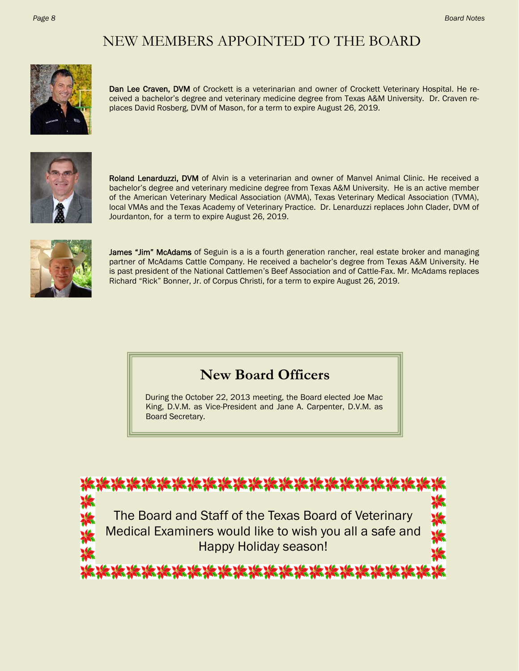## NEW MEMBERS APPOINTED TO THE BOARD



Dan Lee Craven, DVM of Crockett is a veterinarian and owner of Crockett Veterinary Hospital. He received a bachelor's degree and veterinary medicine degree from Texas A&M University. Dr. Craven replaces David Rosberg, DVM of Mason, for a term to expire August 26, 2019.



Roland Lenarduzzi, DVM of Alvin is a veterinarian and owner of Manvel Animal Clinic. He received a bachelor's degree and veterinary medicine degree from Texas A&M University. He is an active member of the American Veterinary Medical Association (AVMA), Texas Veterinary Medical Association (TVMA), local VMAs and the Texas Academy of Veterinary Practice. Dr. Lenarduzzi replaces John Clader, DVM of Jourdanton, for a term to expire August 26, 2019.



James "Jim" McAdams of Seguin is a is a fourth generation rancher, real estate broker and managing partner of McAdams Cattle Company. He received a bachelor's degree from Texas A&M University. He is past president of the National Cattlemen's Beef Association and of Cattle-Fax. Mr. McAdams replaces Richard "Rick" Bonner, Jr. of Corpus Christi, for a term to expire August 26, 2019.

### **New Board Officers**

During the October 22, 2013 meeting, the Board elected Joe Mac King, D.V.M. as Vice-President and Jane A. Carpenter, D.V.M. as Board Secretary.

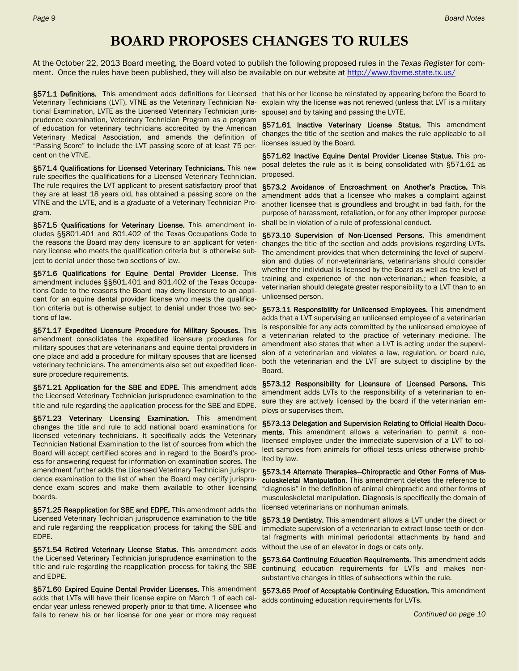### **BOARD PROPOSES CHANGES TO RULES**

At the October 22, 2013 Board meeting, the Board voted to publish the following proposed rules in the *Texas Register* for comment. Once the rules have been published, they will also be available on our website at http://www.tbvme.state.tx.us/

Veterinary Technicians (LVT), VTNE as the Veterinary Technician National Examination, LVTE as the Licensed Veterinary Technician jurisprudence examination, Veterinary Technician Program as a program of education for veterinary technicians accredited by the American Veterinary Medical Association, and amends the definition of "Passing Score" to include the LVT passing score of at least 75 percent on the VTNE.

§571.4 Qualifications for Licensed Veterinary Technicians. This new rule specifies the qualifications for a Licensed Veterinary Technician. The rule requires the LVT applicant to present satisfactory proof that they are at least 18 years old, has obtained a passing score on the VTNE and the LVTE, and is a graduate of a Veterinary Technician Program.

§571.5 Qualifications for Veterinary License. This amendment includes §§801.401 and 801.402 of the Texas Occupations Code to the reasons the Board may deny licensure to an applicant for veterinary license who meets the qualification criteria but is otherwise subject to denial under those two sections of law.

§571.6 Qualifications for Equine Dental Provider License. This amendment includes §§801.401 and 801.402 of the Texas Occupations Code to the reasons the Board may deny licensure to an applicant for an equine dental provider license who meets the qualification criteria but is otherwise subject to denial under those two sections of law.

§571.17 Expedited Licensure Procedure for Military Spouses. This amendment consolidates the expedited licensure procedures for military spouses that are veterinarians and equine dental providers in one place and add a procedure for military spouses that are licensed veterinary technicians. The amendments also set out expedited licensure procedure requirements.

§571.21 Application for the SBE and EDPE. This amendment adds the Licensed Veterinary Technician jurisprudence examination to the title and rule regarding the application process for the SBE and EDPE.

§571.23 Veterinary Licensing Examination. This amendment changes the title and rule to add national board examinations for licensed veterinary technicians. It specifically adds the Veterinary Technician National Examination to the list of sources from which the Board will accept certified scores and in regard to the Board's process for answering request for information on examination scores. The amendment further adds the Licensed Veterinary Technician jurisprudence examination to the list of when the Board may certify jurisprudence exam scores and make them available to other licensing boards.

§571.25 Reapplication for SBE and EDPE. This amendment adds the Licensed Veterinary Technician jurisprudence examination to the title and rule regarding the reapplication process for taking the SBE and EDPE.

§571.54 Retired Veterinary License Status. This amendment adds the Licensed Veterinary Technician jurisprudence examination to the title and rule regarding the reapplication process for taking the SBE and EDPE.

§571.60 Expired Equine Dental Provider Licenses. This amendment adds that LVTs will have their license expire on March 1 of each calendar year unless renewed properly prior to that time. A licensee who fails to renew his or her license for one year or more may request

§571.1 Definitions. This amendment adds definitions for Licensed that his or her license be reinstated by appearing before the Board to explain why the license was not renewed (unless that LVT is a military spouse) and by taking and passing the LVTE.

> §571.61 Inactive Veterinary License Status. This amendment changes the title of the section and makes the rule applicable to all licenses issued by the Board.

> §571.62 Inactive Equine Dental Provider License Status. This proposal deletes the rule as it is being consolidated with §571.61 as proposed.

> §573.2 Avoidance of Encroachment on Another's Practice. This amendment adds that a licensee who makes a complaint against another licensee that is groundless and brought in bad faith, for the purpose of harassment, retaliation, or for any other improper purpose shall be in violation of a rule of professional conduct.

> §573.10 Supervision of Non-Licensed Persons. This amendment changes the title of the section and adds provisions regarding LVTs. The amendment provides that when determining the level of supervision and duties of non-veterinarians, veterinarians should consider whether the individual is licensed by the Board as well as the level of training and experience of the non-veterinarian.; when feasible, a veterinarian should delegate greater responsibility to a LVT than to an unlicensed person.

> §573.11 Responsibility for Unlicensed Employees. This amendment adds that a LVT supervising an unlicensed employee of a veterinarian is responsible for any acts committed by the unlicensed employee of a veterinarian related to the practice of veterinary medicine. The amendment also states that when a LVT is acting under the supervision of a veterinarian and violates a law, regulation, or board rule, both the veterinarian and the LVT are subject to discipline by the Board.

> §573.12 Responsibility for Licensure of Licensed Persons. This amendment adds LVTs to the responsibility of a veterinarian to ensure they are actively licensed by the board if the veterinarian employs or supervises them.

> §573.13 Delegation and Supervision Relating to Official Health Documents. This amendment allows a veterinarian to permit a nonlicensed employee under the immediate supervision of a LVT to collect samples from animals for official tests unless otherwise prohibited by law.

> §573.14 Alternate Therapies—Chiropractic and Other Forms of Musculoskeletal Manipulation. This amendment deletes the reference to "diagnosis" in the definition of animal chiropractic and other forms of musculoskeletal manipulation. Diagnosis is specifically the domain of licensed veterinarians on nonhuman animals.

> §573.19 Dentistry. This amendment allows a LVT under the direct or immediate supervision of a veterinarian to extract loose teeth or dental fragments with minimal periodontal attachments by hand and without the use of an elevator in dogs or cats only.

> §573.64 Continuing Education Requirements. This amendment adds continuing education requirements for LVTs and makes nonsubstantive changes in titles of subsections within the rule.

> §573.65 Proof of Acceptable Continuing Education. This amendment adds continuing education requirements for LVTs.

> > *Continued on page 10*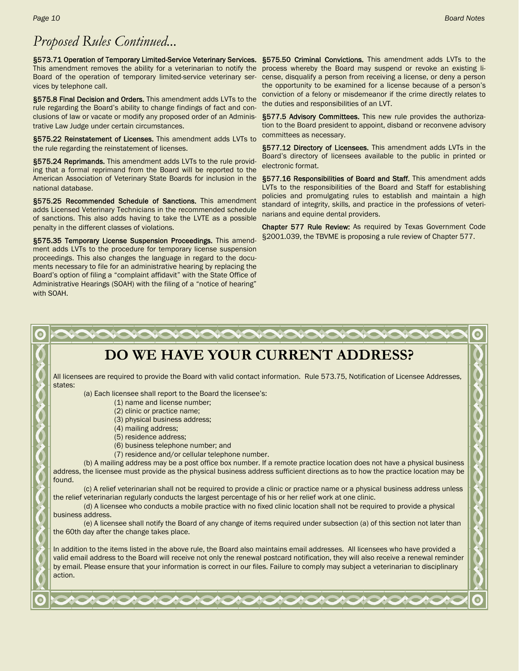### *Proposed Rules Continued...*

§573.71 Operation of Temporary Limited-Service Veterinary Services. This amendment removes the ability for a veterinarian to notify the process whereby the Board may suspend or revoke an existing li-Board of the operation of temporary limited-service veterinary ser- cense, disqualify a person from receiving a license, or deny a person vices by telephone call.

§575.8 Final Decision and Orders. This amendment adds LVTs to the rule regarding the Board's ability to change findings of fact and conclusions of law or vacate or modify any proposed order of an Administrative Law Judge under certain circumstances.

§575.22 Reinstatement of Licenses. This amendment adds LVTs to the rule regarding the reinstatement of licenses.

§575.24 Reprimands. This amendment adds LVTs to the rule providing that a formal reprimand from the Board will be reported to the American Association of Veterinary State Boards for inclusion in the national database.

§575.25 Recommended Schedule of Sanctions. This amendment adds Licensed Veterinary Technicians in the recommended schedule of sanctions. This also adds having to take the LVTE as a possible penalty in the different classes of violations.

§575.35 Temporary License Suspension Proceedings. This amendment adds LVTs to the procedure for temporary license suspension proceedings. This also changes the language in regard to the documents necessary to file for an administrative hearing by replacing the Board's option of filing a "complaint affidavit" with the State Office of Administrative Hearings (SOAH) with the filing of a "notice of hearing" with SOAH.

§575.50 Criminal Convictions. This amendment adds LVTs to the the opportunity to be examined for a license because of a person's conviction of a felony or misdemeanor if the crime directly relates to the duties and responsibilities of an LVT.

§577.5 Advisory Committees. This new rule provides the authorization to the Board president to appoint, disband or reconvene advisory committees as necessary.

§577.12 Directory of Licensees. This amendment adds LVTs in the Board's directory of licensees available to the public in printed or electronic format.

§577.16 Responsibilities of Board and Staff. This amendment adds LVTs to the responsibilities of the Board and Staff for establishing policies and promulgating rules to establish and maintain a high standard of integrity, skills, and practice in the professions of veterinarians and equine dental providers.

Chapter 577 Rule Review: As required by Texas Government Code §2001.039, the TBVME is proposing a rule review of Chapter 577.

#### **DO WE HAVE YOUR CURRENT ADDRESS?**  All licensees are required to provide the Board with valid contact information. Rule 573.75, Notification of Licensee Addresses, states: (a) Each licensee shall report to the Board the licensee's: (1) name and license number; (2) clinic or practice name; (3) physical business address; (4) mailing address; (5) residence address; (6) business telephone number; and (7) residence and/or cellular telephone number. (b) A mailing address may be a post office box number. If a remote practice location does not have a physical business address, the licensee must provide as the physical business address sufficient directions as to how the practice location may be found. (c) A relief veterinarian shall not be required to provide a clinic or practice name or a physical business address unless the relief veterinarian regularly conducts the largest percentage of his or her relief work at one clinic. (d) A licensee who conducts a mobile practice with no fixed clinic location shall not be required to provide a physical business address. (e) A licensee shall notify the Board of any change of items required under subsection (a) of this section not later than the 60th day after the change takes place. In addition to the items listed in the above rule, the Board also maintains email addresses. All licensees who have provided a valid email address to the Board will receive not only the renewal postcard notification, they will also receive a renewal reminder by email. Please ensure that your information is correct in our files. Failure to comply may subject a veterinarian to disciplinary action.